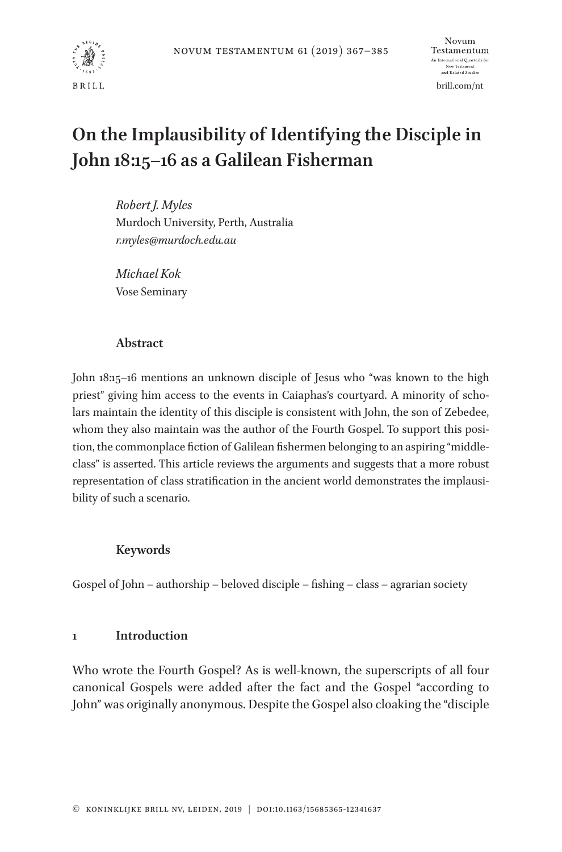

brill.com/nt

# **On the Implausibility of Identifying the Disciple in John 18:15–16 as a Galilean Fisherman**

*Robert J. Myles* Murdoch University, Perth, Australia *r.myles@murdoch.edu.au*

*Michael Kok* Vose Seminary

# **Abstract**

John 18:15–16 mentions an unknown disciple of Jesus who "was known to the high priest" giving him access to the events in Caiaphas's courtyard. A minority of scholars maintain the identity of this disciple is consistent with John, the son of Zebedee, whom they also maintain was the author of the Fourth Gospel. To support this position, the commonplace fiction of Galilean fishermen belonging to an aspiring "middleclass" is asserted. This article reviews the arguments and suggests that a more robust representation of class stratification in the ancient world demonstrates the implausibility of such a scenario.

# **Keywords**

Gospel of John – authorship – beloved disciple – fishing – class – agrarian society

## **1 Introduction**

Who wrote the Fourth Gospel? As is well-known, the superscripts of all four canonical Gospels were added after the fact and the Gospel "according to John" was originally anonymous. Despite the Gospel also cloaking the "disciple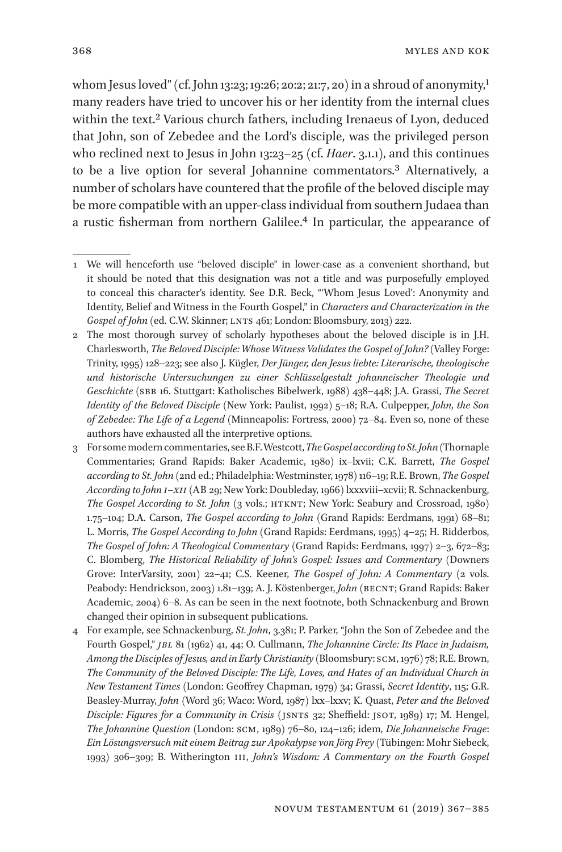whom Jesus loved" (cf. John 13:23; 19:26; 20:2; 21:7, 20) in a shroud of anonymity,1 many readers have tried to uncover his or her identity from the internal clues within the text.<sup>2</sup> Various church fathers, including Irenaeus of Lyon, deduced that John, son of Zebedee and the Lord's disciple, was the privileged person who reclined next to Jesus in John 13:23–25 (cf. *Haer*. 3.1.1), and this continues to be a live option for several Johannine commentators.3 Alternatively, a number of scholars have countered that the profile of the beloved disciple may be more compatible with an upper-class individual from southern Judaea than a rustic fisherman from northern Galilee.4 In particular, the appearance of

2 The most thorough survey of scholarly hypotheses about the beloved disciple is in J.H. Charlesworth, *The Beloved Disciple: Whose Witness Validates the Gospel of John?* (Valley Forge: Trinity, 1995) 128–223; see also J. Kügler, *Der Jünger, den Jesus liebte: Literarische, theologische und historische Untersuchungen zu einer Schlüsselgestalt johanneischer Theologie und Geschichte* (SBB 16. Stuttgart: Katholisches Bibelwerk, 1988) 438–448; J.A. Grassi, *The Secret Identity of the Beloved Disciple* (New York: Paulist, 1992) 5–18; R.A. Culpepper, *John, the Son of Zebedee: The Life of a Legend* (Minneapolis: Fortress, 2000) 72–84. Even so, none of these authors have exhausted all the interpretive options.

- 3 For some modern commentaries, see B.F. Westcott, *The Gospel according to St. John* (Thornaple Commentaries; Grand Rapids: Baker Academic, 1980) ix–lxvii; C.K. Barrett, *The Gospel according to St. John* (2nd ed.; Philadelphia: Westminster, 1978) 116–19; R.E. Brown, *The Gospel According to John I–XII* (AB 29; New York: Doubleday, 1966) lxxxviii–xcvii; R. Schnackenburg, *The Gospel According to St. John* (3 vols.; HTKNT; New York: Seabury and Crossroad, 1980) 1.75–104; D.A. Carson, *The Gospel according to John* (Grand Rapids: Eerdmans, 1991) 68–81; L. Morris, *The Gospel According to John* (Grand Rapids: Eerdmans, 1995) 4–25; H. Ridderbos, *The Gospel of John: A Theological Commentary* (Grand Rapids: Eerdmans, 1997) 2–3, 672–83; C. Blomberg, *The Historical Reliability of John's Gospel: Issues and Commentary* (Downers Grove: InterVarsity, 2001) 22–41; C.S. Keener, *The Gospel of John: A Commentary* (2 vols. Peabody: Hendrickson, 2003) 1.81–139; A. J. Köstenberger, *John* (BECNT; Grand Rapids: Baker Academic, 2004) 6–8. As can be seen in the next footnote, both Schnackenburg and Brown changed their opinion in subsequent publications.
- 4 For example, see Schnackenburg, *St. John*, 3.381; P. Parker, "John the Son of Zebedee and the Fourth Gospel," *JBL* 81 (1962) 41, 44; O. Cullmann, *The Johannine Circle: Its Place in Judaism, Among the Disciples of Jesus, and in Early Christianity* (Bloomsbury: SCM, 1976) 78; R.E. Brown, *The Community of the Beloved Disciple: The Life, Loves, and Hates of an Individual Church in New Testament Times* (London: Geoffrey Chapman, 1979) 34; Grassi, *Secret Identity*, 115; G.R. Beasley-Murray, *John* (Word 36; Waco: Word, 1987) lxx–lxxv; K. Quast, *Peter and the Beloved Disciple: Figures for a Community in Crisis* (JSNTS 32; Sheffield: JSOT, 1989) 17; M. Hengel, *The Johannine Question* (London: SCM, 1989) 76–80, 124–126; idem, *Die Johanneische Frage*: *Ein Lösungsversuch mit einem Beitrag zur Apokalypse von Jörg Frey* (Tübingen: Mohr Siebeck, 1993) 306–309; B. Witherington III, *John's Wisdom: A Commentary on the Fourth Gospel*

<sup>1</sup> We will henceforth use "beloved disciple" in lower-case as a convenient shorthand, but it should be noted that this designation was not a title and was purposefully employed to conceal this character's identity. See D.R. Beck, "'Whom Jesus Loved': Anonymity and Identity, Belief and Witness in the Fourth Gospel," in *Characters and Characterization in the Gospel of John* (ed. C.W. Skinner; LNTS 461; London: Bloomsbury, 2013) 222.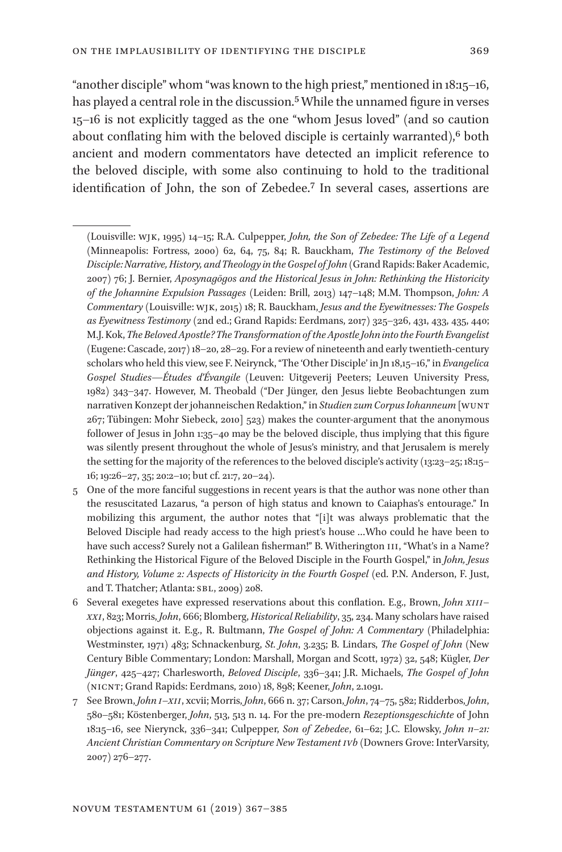"another disciple" whom "was known to the high priest," mentioned in 18:15–16, has played a central role in the discussion.<sup>5</sup> While the unnamed figure in verses 15–16 is not explicitly tagged as the one "whom Jesus loved" (and so caution about conflating him with the beloved disciple is certainly warranted),6 both ancient and modern commentators have detected an implicit reference to the beloved disciple, with some also continuing to hold to the traditional identification of John, the son of Zebedee.<sup>7</sup> In several cases, assertions are

(Louisville: WJK, 1995) 14–15; R.A. Culpepper, *John, the Son of Zebedee: The Life of a Legend* (Minneapolis: Fortress, 2000) 62, 64, 75, 84; R. Bauckham, *The Testimony of the Beloved Disciple: Narrative, History, and Theology in the Gospel of John* (Grand Rapids: Baker Academic, 2007) 76; J. Bernier, *Aposynagōgos and the Historical Jesus in John: Rethinking the Historicity of the Johannine Expulsion Passages* (Leiden: Brill, 2013) 147–148; M.M. Thompson, *John: A Commentary* (Louisville: WJK, 2015) 18; R. Bauckham, *Jesus and the Eyewitnesses: The Gospels as Eyewitness Testimony* (2nd ed.; Grand Rapids: Eerdmans, 2017) 325–326, 431, 433, 435, 440; M.J. Kok, *The Beloved Apostle? The Transformation of the Apostle John into the Fourth Evangelist*  (Eugene: Cascade, 2017) 18–20, 28–29. For a review of nineteenth and early twentieth-century scholars who held this view, see F. Neirynck, "The 'Other Disciple' in Jn 18,15–16," in *Evangelica Gospel Studies—Études d'Évangile* (Leuven: Uitgeverij Peeters; Leuven University Press, 1982) 343–347. However, M. Theobald ("Der Jünger, den Jesus liebte Beobachtungen zum narrativen Konzept der johanneischen Redaktion," in *Studien zum Corpus Iohanneum* [WUNT 267; Tübingen: Mohr Siebeck, 2010] 523) makes the counter-argument that the anonymous follower of Jesus in John 1:35–40 may be the beloved disciple, thus implying that this figure was silently present throughout the whole of Jesus's ministry, and that Jerusalem is merely the setting for the majority of the references to the beloved disciple's activity (13:23–25; 18:15– 16; 19:26–27, 35; 20:2–10; but cf. 21:7, 20–24).

- 5 One of the more fanciful suggestions in recent years is that the author was none other than the resuscitated Lazarus, "a person of high status and known to Caiaphas's entourage." In mobilizing this argument, the author notes that "[i]t was always problematic that the Beloved Disciple had ready access to the high priest's house …Who could he have been to have such access? Surely not a Galilean fisherman!" B. Witherington III, "What's in a Name? Rethinking the Historical Figure of the Beloved Disciple in the Fourth Gospel," in *John, Jesus and History, Volume 2: Aspects of Historicity in the Fourth Gospel* (ed. P.N. Anderson, F. Just, and T. Thatcher; Atlanta: SBL, 2009) 208.
- 6 Several exegetes have expressed reservations about this conflation. E.g., Brown, *John XIII XXI*, 823; Morris, *John*, 666; Blomberg, *Historical Reliability*, 35, 234. Many scholars have raised objections against it. E.g., R. Bultmann, *The Gospel of John: A Commentary* (Philadelphia: Westminster, 1971) 483; Schnackenburg, *St. John*, 3.235; B. Lindars, *The Gospel of John* (New Century Bible Commentary; London: Marshall, Morgan and Scott, 1972) 32, 548; Kügler, *Der Jünger*, 425–427; Charlesworth, *Beloved Disciple*, 336–341; J.R. Michaels, *The Gospel of John* (NICNT; Grand Rapids: Eerdmans, 2010) 18, 898; Keener, *John*, 2.1091.
- 7 See Brown, *John I*–*XII*, xcvii; Morris, *John*, 666 n. 37; Carson, *John*, 74–75, 582; Ridderbos, *John*, 580–581; Köstenberger, *John*, 513, 513 n. 14. For the pre-modern *Rezeptionsgeschichte* of John 18:15–16, see Nierynck, 336–341; Culpepper, *Son of Zebedee*, 61–62; J.C. Elowsky, *John 11–21: Ancient Christian Commentary on Scripture New Testament IVb* (Downers Grove: InterVarsity, 2007) 276–277.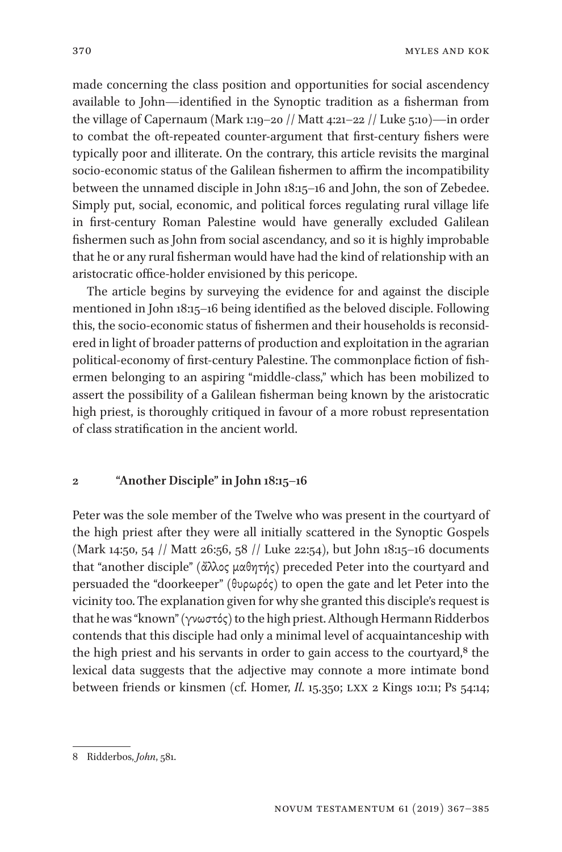made concerning the class position and opportunities for social ascendency available to John—identified in the Synoptic tradition as a fisherman from the village of Capernaum (Mark 1:19–20 // Matt 4:21–22 // Luke 5:10)—in order to combat the oft-repeated counter-argument that first-century fishers were typically poor and illiterate. On the contrary, this article revisits the marginal socio-economic status of the Galilean fishermen to affirm the incompatibility between the unnamed disciple in John 18:15–16 and John, the son of Zebedee. Simply put, social, economic, and political forces regulating rural village life in first-century Roman Palestine would have generally excluded Galilean fishermen such as John from social ascendancy, and so it is highly improbable that he or any rural fisherman would have had the kind of relationship with an aristocratic office-holder envisioned by this pericope.

The article begins by surveying the evidence for and against the disciple mentioned in John 18:15–16 being identified as the beloved disciple. Following this, the socio-economic status of fishermen and their households is reconsidered in light of broader patterns of production and exploitation in the agrarian political-economy of first-century Palestine. The commonplace fiction of fishermen belonging to an aspiring "middle-class," which has been mobilized to assert the possibility of a Galilean fisherman being known by the aristocratic high priest, is thoroughly critiqued in favour of a more robust representation of class stratification in the ancient world.

## **2 "Another Disciple" in John 18:15–16**

Peter was the sole member of the Twelve who was present in the courtyard of the high priest after they were all initially scattered in the Synoptic Gospels (Mark 14:50, 54 // Matt 26:56, 58 // Luke 22:54), but John 18:15–16 documents that "another disciple" (ἄλλος μαθητής) preceded Peter into the courtyard and persuaded the "doorkeeper" (θυρωρός) to open the gate and let Peter into the vicinity too. The explanation given for why she granted this disciple's request is that he was "known" (γνωστός) to the high priest. Although Hermann Ridderbos contends that this disciple had only a minimal level of acquaintanceship with the high priest and his servants in order to gain access to the courtyard,<sup>8</sup> the lexical data suggests that the adjective may connote a more intimate bond between friends or kinsmen (cf. Homer, *Il*. 15.350; LXX 2 Kings 10:11; Ps 54:14;

<sup>8</sup> Ridderbos, *John*, 581.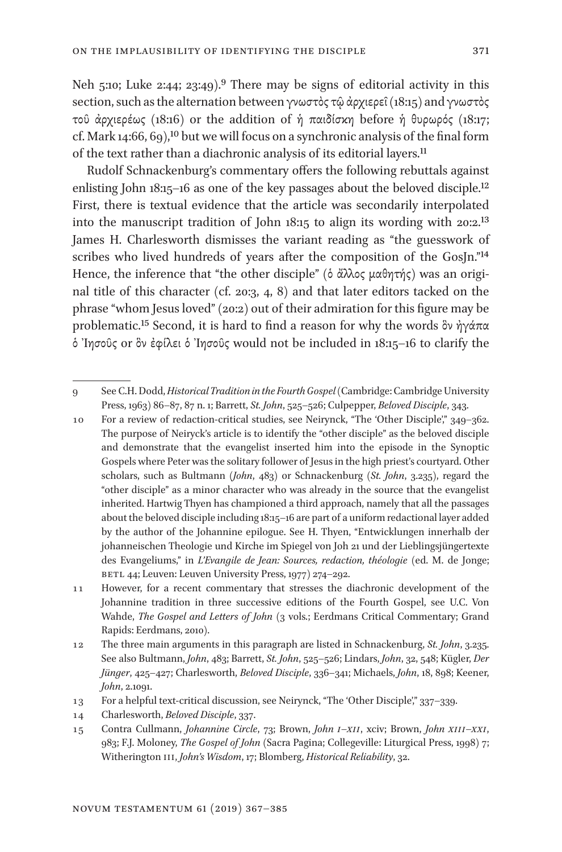Neh 5:10; Luke 2:44; 23:49).<sup>9</sup> There may be signs of editorial activity in this section, such as the alternation between γνωστὸς τῷ ἀρχιερεῖ (18:15) and γνωστὸς τοῦ ἀρχιερέως (18:16) or the addition of ἡ παιδίσκη before ἡ θυρωρός (18:17; cf. Mark 14:66, 69),10 but we will focus on a synchronic analysis of the final form of the text rather than a diachronic analysis of its editorial layers.11

Rudolf Schnackenburg's commentary offers the following rebuttals against enlisting John  $18:15-16$  as one of the key passages about the beloved disciple.<sup>12</sup> First, there is textual evidence that the article was secondarily interpolated into the manuscript tradition of John 18:15 to align its wording with 20:2.13 James H. Charlesworth dismisses the variant reading as "the guesswork of scribes who lived hundreds of years after the composition of the GosJn."<sup>14</sup> Hence, the inference that "the other disciple" (ὁ ἄλλος μαθητής) was an original title of this character (cf. 20:3, 4, 8) and that later editors tacked on the phrase "whom Jesus loved" (20:2) out of their admiration for this figure may be problematic.15 Second, it is hard to find a reason for why the words ὃν ἠγάπα ὁ Ἰησοῦς or ὃν ἐφίλει ὁ Ἰησοῦς would not be included in 18:15–16 to clarify the

- 10 For a review of redaction-critical studies, see Neirynck, "The 'Other Disciple'," 349–362. The purpose of Neiryck's article is to identify the "other disciple" as the beloved disciple and demonstrate that the evangelist inserted him into the episode in the Synoptic Gospels where Peter was the solitary follower of Jesus in the high priest's courtyard. Other scholars, such as Bultmann (*John*, 483) or Schnackenburg (*St. John*, 3.235), regard the "other disciple" as a minor character who was already in the source that the evangelist inherited. Hartwig Thyen has championed a third approach, namely that all the passages about the beloved disciple including 18:15–16 are part of a uniform redactional layer added by the author of the Johannine epilogue. See H. Thyen, "Entwicklungen innerhalb der johanneischen Theologie und Kirche im Spiegel von Joh 21 und der Lieblingsjüngertexte des Evangeliums," in *L'Evangile de Jean: Sources, redaction, théologie* (ed. M. de Jonge; BETL 44; Leuven: Leuven University Press, 1977) 274–292.
- 11 However, for a recent commentary that stresses the diachronic development of the Johannine tradition in three successive editions of the Fourth Gospel, see U.C. Von Wahde, *The Gospel and Letters of John* (3 vols.; Eerdmans Critical Commentary; Grand Rapids: Eerdmans, 2010).
- 12 The three main arguments in this paragraph are listed in Schnackenburg, *St. John*, 3.235. See also Bultmann, *John*, 483; Barrett, *St. John*, 525–526; Lindars, *John*, 32, 548; Kügler, *Der Jünger*, 425–427; Charlesworth, *Beloved Disciple*, 336–341; Michaels, *John*, 18, 898; Keener, *John*, 2.1091.
- 13 For a helpful text-critical discussion, see Neirynck, "The 'Other Disciple'," 337–339.
- 14 Charlesworth, *Beloved Disciple*, 337.
- 15 Contra Cullmann, *Johannine Circle*, 73; Brown, *John I*–*XII*, xciv; Brown, *John XIII*–*XXI*, 983; F.J. Moloney, *The Gospel of John* (Sacra Pagina; Collegeville: Liturgical Press, 1998) 7; Witherington III, *John's Wisdom*, 17; Blomberg, *Historical Reliability*, 32.

<sup>9</sup> See C.H. Dodd, *Historical Tradition in the Fourth Gospel* (Cambridge: Cambridge University Press, 1963) 86–87, 87 n. 1; Barrett, *St. John*, 525–526; Culpepper, *Beloved Disciple*, 343.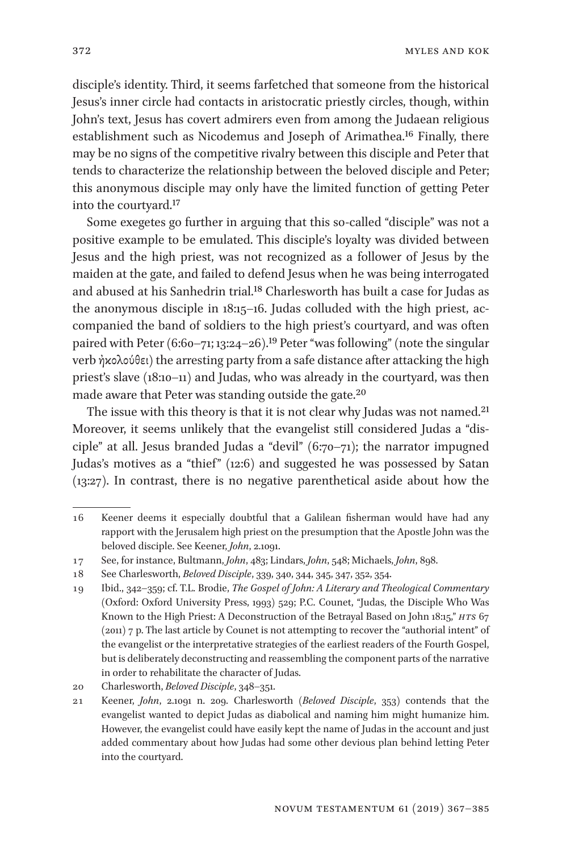disciple's identity. Third, it seems farfetched that someone from the historical Jesus's inner circle had contacts in aristocratic priestly circles, though, within John's text, Jesus has covert admirers even from among the Judaean religious establishment such as Nicodemus and Joseph of Arimathea.16 Finally, there may be no signs of the competitive rivalry between this disciple and Peter that tends to characterize the relationship between the beloved disciple and Peter; this anonymous disciple may only have the limited function of getting Peter into the courtyard.17

Some exegetes go further in arguing that this so-called "disciple" was not a positive example to be emulated. This disciple's loyalty was divided between Jesus and the high priest, was not recognized as a follower of Jesus by the maiden at the gate, and failed to defend Jesus when he was being interrogated and abused at his Sanhedrin trial.18 Charlesworth has built a case for Judas as the anonymous disciple in 18:15–16. Judas colluded with the high priest, accompanied the band of soldiers to the high priest's courtyard, and was often paired with Peter (6:60–71; 13:24–26).19 Peter "was following" (note the singular verb ἠκολούθει) the arresting party from a safe distance after attacking the high priest's slave (18:10–11) and Judas, who was already in the courtyard, was then made aware that Peter was standing outside the gate.20

The issue with this theory is that it is not clear why Judas was not named.<sup>21</sup> Moreover, it seems unlikely that the evangelist still considered Judas a "disciple" at all. Jesus branded Judas a "devil" (6:70–71); the narrator impugned Judas's motives as a "thief" (12:6) and suggested he was possessed by Satan (13:27). In contrast, there is no negative parenthetical aside about how the

<sup>16</sup> Keener deems it especially doubtful that a Galilean fisherman would have had any rapport with the Jerusalem high priest on the presumption that the Apostle John was the beloved disciple. See Keener, *John*, 2.1091.

<sup>17</sup> See, for instance, Bultmann, *John*, 483; Lindars, *John*, 548; Michaels, *John*, 898.

<sup>18</sup> See Charlesworth, *Beloved Disciple*, 339, 340, 344, 345, 347, 352, 354.

<sup>19</sup> Ibid., 342–359; cf. T.L. Brodie, *The Gospel of John: A Literary and Theological Commentary*  (Oxford: Oxford University Press, 1993) 529; P.C. Counet, "Judas, the Disciple Who Was Known to the High Priest: A Deconstruction of the Betrayal Based on John 18:15," *HTS* 67 (2011) 7 p. The last article by Counet is not attempting to recover the "authorial intent" of the evangelist or the interpretative strategies of the earliest readers of the Fourth Gospel, but is deliberately deconstructing and reassembling the component parts of the narrative in order to rehabilitate the character of Judas.

<sup>20</sup> Charlesworth, *Beloved Disciple*, 348–351.

<sup>21</sup> Keener, *John*, 2.1091 n. 209. Charlesworth (*Beloved Disciple*, 353) contends that the evangelist wanted to depict Judas as diabolical and naming him might humanize him. However, the evangelist could have easily kept the name of Judas in the account and just added commentary about how Judas had some other devious plan behind letting Peter into the courtyard.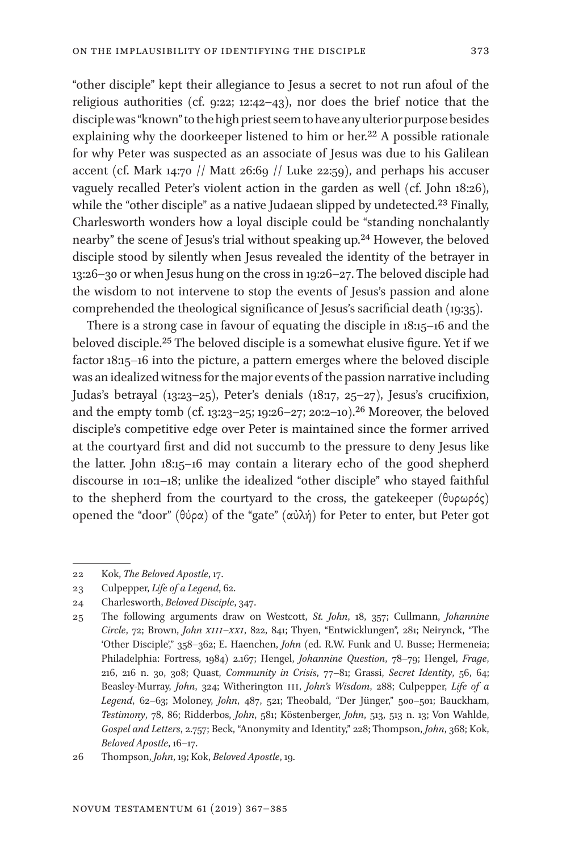"other disciple" kept their allegiance to Jesus a secret to not run afoul of the religious authorities (cf. 9:22; 12:42–43), nor does the brief notice that the disciple was "known" to the high priest seem to have any ulterior purpose besides explaining why the doorkeeper listened to him or her.<sup>22</sup> A possible rationale for why Peter was suspected as an associate of Jesus was due to his Galilean accent (cf. Mark 14:70 // Matt 26:69 // Luke 22:59), and perhaps his accuser vaguely recalled Peter's violent action in the garden as well (cf. John 18:26), while the "other disciple" as a native Judaean slipped by undetected.<sup>23</sup> Finally, Charlesworth wonders how a loyal disciple could be "standing nonchalantly nearby" the scene of Jesus's trial without speaking up.24 However, the beloved disciple stood by silently when Jesus revealed the identity of the betrayer in 13:26–30 or when Jesus hung on the cross in 19:26–27. The beloved disciple had the wisdom to not intervene to stop the events of Jesus's passion and alone comprehended the theological significance of Jesus's sacrificial death (19:35).

There is a strong case in favour of equating the disciple in 18:15–16 and the beloved disciple.25 The beloved disciple is a somewhat elusive figure. Yet if we factor 18:15–16 into the picture, a pattern emerges where the beloved disciple was an idealized witness for the major events of the passion narrative including Judas's betrayal (13:23–25), Peter's denials (18:17, 25–27), Jesus's crucifixion, and the empty tomb (cf. 13:23–25; 19:26–27; 20:2–10).26 Moreover, the beloved disciple's competitive edge over Peter is maintained since the former arrived at the courtyard first and did not succumb to the pressure to deny Jesus like the latter. John 18:15–16 may contain a literary echo of the good shepherd discourse in 10:1–18; unlike the idealized "other disciple" who stayed faithful to the shepherd from the courtyard to the cross, the gatekeeper (θυρωρός) opened the "door" (θύρα) of the "gate" (αὐλή) for Peter to enter, but Peter got

<sup>22</sup> Kok, *The Beloved Apostle*, 17.

<sup>23</sup> Culpepper, *Life of a Legend*, 62.

<sup>24</sup> Charlesworth, *Beloved Disciple*, 347.

<sup>25</sup> The following arguments draw on Westcott, *St. John*, 18, 357; Cullmann, *Johannine Circle*, 72; Brown, *John XIII*–*XXI*, 822, 841; Thyen, "Entwicklungen", 281; Neirynck, "The 'Other Disciple'," 358–362; E. Haenchen, *John* (ed. R.W. Funk and U. Busse; Hermeneia; Philadelphia: Fortress, 1984) 2.167; Hengel, *Johannine Question*, 78–79; Hengel, *Frage*, 216, 216 n. 30, 308; Quast, *Community in Crisis*, 77–81; Grassi, *Secret Identity*, 56, 64; Beasley-Murray, *John*, 324; Witherington III, *John's Wisdom*, 288; Culpepper, *Life of a Legend*, 62–63; Moloney, *John*, 487, 521; Theobald, "Der Jünger," 500–501; Bauckham, *Testimony*, 78, 86; Ridderbos, *John*, 581; Köstenberger, *John*, 513, 513 n. 13; Von Wahlde, *Gospel and Letters*, 2.757; Beck, "Anonymity and Identity," 228; Thompson, *John*, 368; Kok, *Beloved Apostle*, 16–17.

<sup>26</sup> Thompson, *John*, 19; Kok, *Beloved Apostle*, 19.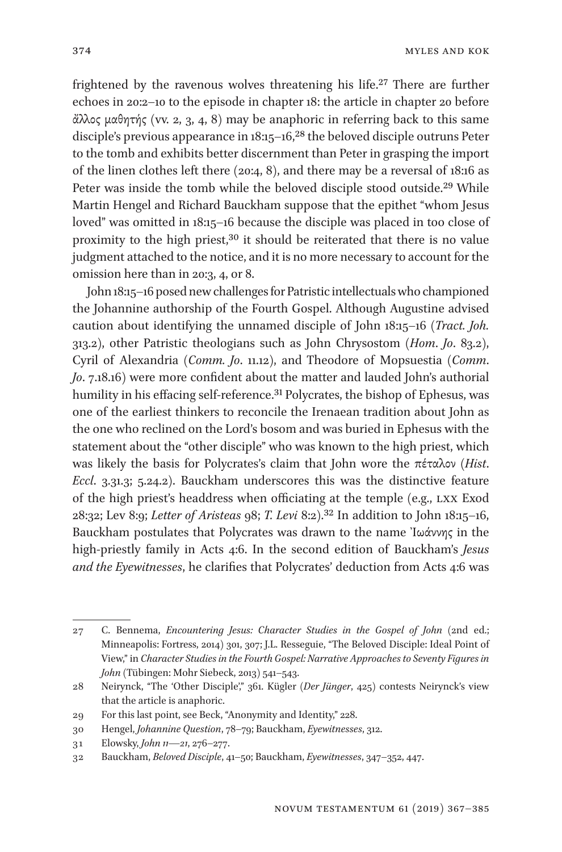frightened by the ravenous wolves threatening his life.27 There are further echoes in 20:2–10 to the episode in chapter 18: the article in chapter 20 before ἄλλος μαθητής (vv. 2, 3, 4, 8) may be anaphoric in referring back to this same disciple's previous appearance in 18:15-16,<sup>28</sup> the beloved disciple outruns Peter to the tomb and exhibits better discernment than Peter in grasping the import of the linen clothes left there (20:4, 8), and there may be a reversal of 18:16 as Peter was inside the tomb while the beloved disciple stood outside.<sup>29</sup> While Martin Hengel and Richard Bauckham suppose that the epithet "whom Jesus loved" was omitted in 18:15–16 because the disciple was placed in too close of proximity to the high priest,30 it should be reiterated that there is no value judgment attached to the notice, and it is no more necessary to account for the omission here than in 20:3, 4, or 8.

John 18:15–16 posed new challenges for Patristic intellectuals who championed the Johannine authorship of the Fourth Gospel. Although Augustine advised caution about identifying the unnamed disciple of John 18:15–16 (*Tract. Joh.*  313.2), other Patristic theologians such as John Chrysostom (*Hom*. *Jo*. 83.2), Cyril of Alexandria (*Comm. Jo*. 11.12), and Theodore of Mopsuestia (*Comm*. *Jo*. 7.18.16) were more confident about the matter and lauded John's authorial humility in his effacing self-reference.<sup>31</sup> Polycrates, the bishop of Ephesus, was one of the earliest thinkers to reconcile the Irenaean tradition about John as the one who reclined on the Lord's bosom and was buried in Ephesus with the statement about the "other disciple" who was known to the high priest, which was likely the basis for Polycrates's claim that John wore the πέταλον (*Hist*. *Eccl*. 3.31.3; 5.24.2). Bauckham underscores this was the distinctive feature of the high priest's headdress when officiating at the temple (e.g., LXX Exod 28:32; Lev 8:9; *Letter of Aristeas* 98; *T. Levi* 8:2).32 In addition to John 18:15–16, Bauckham postulates that Polycrates was drawn to the name Ἰωάννης in the high-priestly family in Acts 4:6. In the second edition of Bauckham's *Jesus and the Eyewitnesses*, he clarifies that Polycrates' deduction from Acts 4:6 was

<sup>27</sup> C. Bennema, *Encountering Jesus: Character Studies in the Gospel of John* (2nd ed.; Minneapolis: Fortress, 2014) 301, 307; J.L. Resseguie, "The Beloved Disciple: Ideal Point of View," in *Character Studies in the Fourth Gospel: Narrative Approaches to Seventy Figures in John* (Tübingen: Mohr Siebeck, 2013) 541–543.

<sup>28</sup> Neirynck, "The 'Other Disciple'," 361. Kügler (*Der Jünger*, 425) contests Neirynck's view that the article is anaphoric.

<sup>29</sup> For this last point, see Beck, "Anonymity and Identity," 228.

<sup>30</sup> Hengel, *Johannine Question*, 78–79; Bauckham, *Eyewitnesses*, 312.

<sup>31</sup> Elowsky, *John 11*—*21*, 276–277.

<sup>32</sup> Bauckham, *Beloved Disciple*, 41–50; Bauckham, *Eyewitnesses*, 347–352, 447.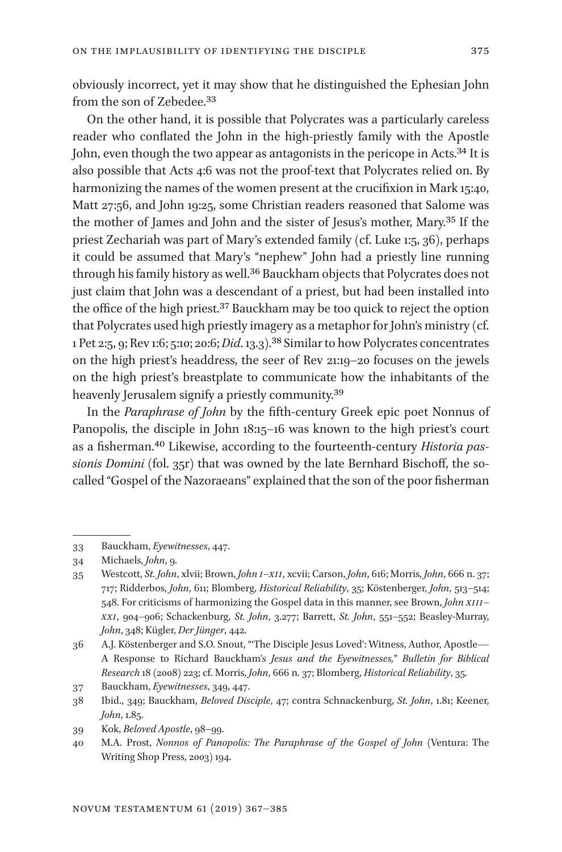obviously incorrect, yet it may show that he distinguished the Ephesian John from the son of Zebedee.33

On the other hand, it is possible that Polycrates was a particularly careless reader who conflated the John in the high-priestly family with the Apostle John, even though the two appear as antagonists in the pericope in Acts.<sup>34</sup> It is also possible that Acts 4:6 was not the proof-text that Polycrates relied on. By harmonizing the names of the women present at the crucifixion in Mark 15:40, Matt 27:56, and John 19:25, some Christian readers reasoned that Salome was the mother of James and John and the sister of Jesus's mother, Mary.35 If the priest Zechariah was part of Mary's extended family (cf. Luke 1:5, 36), perhaps it could be assumed that Mary's "nephew" John had a priestly line running through his family history as well.36 Bauckham objects that Polycrates does not just claim that John was a descendant of a priest, but had been installed into the office of the high priest.37 Bauckham may be too quick to reject the option that Polycrates used high priestly imagery as a metaphor for John's ministry (cf. 1 Pet 2:5, 9; Rev 1:6; 5:10; 20:6; *Did*. 13.3).38 Similar to how Polycrates concentrates on the high priest's headdress, the seer of Rev 21:19–20 focuses on the jewels on the high priest's breastplate to communicate how the inhabitants of the heavenly Jerusalem signify a priestly community.39

In the *Paraphrase of John* by the fifth-century Greek epic poet Nonnus of Panopolis, the disciple in John 18:15–16 was known to the high priest's court as a fisherman.40 Likewise, according to the fourteenth-century *Historia passionis Domini* (fol. 35r) that was owned by the late Bernhard Bischoff, the socalled "Gospel of the Nazoraeans" explained that the son of the poor fisherman

<sup>33</sup> Bauckham, *Eyewitnesses*, 447.

<sup>34</sup> Michaels, *John*, 9.

<sup>35</sup> Westcott, *St. John*, xlvii; Brown, *John I*–*XII*, xcvii; Carson, *John*, 616; Morris, *John*, 666 n. 37; 717; Ridderbos, *John*, 611; Blomberg, *Historical Reliability*, 35; Köstenberger, *John*, 513–514; 548. For criticisms of harmonizing the Gospel data in this manner, see Brown, *John XIII*– *XXI*, 904–906; Schackenburg, *St. John*, 3.277; Barrett, *St. John*, 551–552; Beasley-Murray, *John*, 348; Kügler, *Der Jünger*, 442.

<sup>36</sup> A.J. Köstenberger and S.O. Snout, "'The Disciple Jesus Loved': Witness, Author, Apostle— A Response to Richard Bauckham's *Jesus and the Eyewitnesses,*" *Bulletin for Biblical Research* 18 (2008) 223; cf. Morris, *John*, 666 n. 37; Blomberg, *Historical Reliability*, 35.

<sup>37</sup> Bauckham, *Eyewitnesses*, 349, 447.

<sup>38</sup> Ibid., 349; Bauckham, *Beloved Disciple*, 47; contra Schnackenburg, *St. John*, 1.81; Keener, *John*, 1.85.

<sup>39</sup> Kok, *Beloved Apostle*, 98–99.

<sup>40</sup> M.A. Prost, *Nonnos of Panopolis: The Paraphrase of the Gospel of John* (Ventura: The Writing Shop Press, 2003) 194.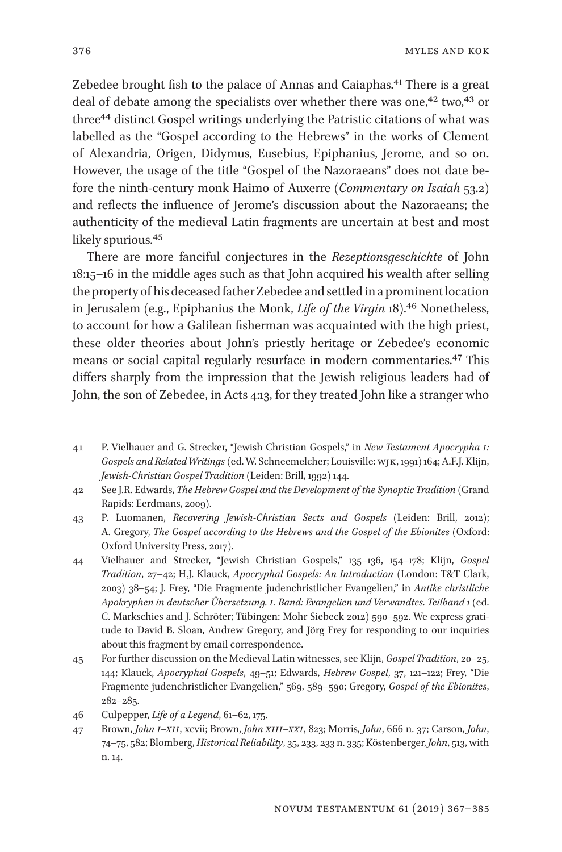376 MYLES AND KOK

Zebedee brought fish to the palace of Annas and Caiaphas.<sup>41</sup> There is a great deal of debate among the specialists over whether there was one,<sup>42</sup> two,<sup>43</sup> or three44 distinct Gospel writings underlying the Patristic citations of what was labelled as the "Gospel according to the Hebrews" in the works of Clement of Alexandria, Origen, Didymus, Eusebius, Epiphanius, Jerome, and so on. However, the usage of the title "Gospel of the Nazoraeans" does not date before the ninth-century monk Haimo of Auxerre (*Commentary on Isaiah* 53.2) and reflects the influence of Jerome's discussion about the Nazoraeans; the authenticity of the medieval Latin fragments are uncertain at best and most likely spurious.45

There are more fanciful conjectures in the *Rezeptionsgeschichte* of John 18:15–16 in the middle ages such as that John acquired his wealth after selling the property of his deceased father Zebedee and settled in a prominent location in Jerusalem (e.g., Epiphanius the Monk, *Life of the Virgin* 18).46 Nonetheless, to account for how a Galilean fisherman was acquainted with the high priest, these older theories about John's priestly heritage or Zebedee's economic means or social capital regularly resurface in modern commentaries.47 This differs sharply from the impression that the Jewish religious leaders had of John, the son of Zebedee, in Acts 4:13, for they treated John like a stranger who

42 See J.R. Edwards, *The Hebrew Gospel and the Development of the Synoptic Tradition* (Grand Rapids: Eerdmans, 2009).

43 P. Luomanen, *Recovering Jewish-Christian Sects and Gospels* (Leiden: Brill, 2012); A. Gregory, *The Gospel according to the Hebrews and the Gospel of the Ebionites* (Oxford: Oxford University Press, 2017).

<sup>41</sup> P. Vielhauer and G. Strecker, "Jewish Christian Gospels," in *New Testament Apocrypha I: Gospels and Related Writings* (ed. W. Schneemelcher; Louisville: WJK, 1991) 164; A.F.J. Klijn, *Jewish-Christian Gospel Tradition* (Leiden: Brill, 1992) 144.

<sup>44</sup> Vielhauer and Strecker, "Jewish Christian Gospels," 135–136, 154–178; Klijn, *Gospel Tradition*, 27–42; H.J. Klauck, *Apocryphal Gospels: An Introduction* (London: T&T Clark, 2003) 38–54; J. Frey, "Die Fragmente judenchristlicher Evangelien," in *Antike christliche Apokryphen in deutscher Übersetzung. I. Band: Evangelien und Verwandtes. Teilband 1* (ed. C. Markschies and J. Schröter; Tübingen: Mohr Siebeck 2012) 590–592. We express gratitude to David B. Sloan, Andrew Gregory, and Jörg Frey for responding to our inquiries about this fragment by email correspondence.

<sup>45</sup> For further discussion on the Medieval Latin witnesses, see Klijn, *Gospel Tradition*, 20–25, 144; Klauck, *Apocryphal Gospels*, 49–51; Edwards, *Hebrew Gospel*, 37, 121–122; Frey, "Die Fragmente judenchristlicher Evangelien," 569, 589–590; Gregory, *Gospel of the Ebionites*, 282–285.

<sup>46</sup> Culpepper, *Life of a Legend*, 61–62, 175.

<sup>47</sup> Brown, *John I–XII*, xcvii; Brown, *John XIII–XXI*, 823; Morris, *John*, 666 n. 37; Carson, *John*, 74–75, 582; Blomberg, *Historical Reliability*, 35, 233, 233 n. 335; Köstenberger, *John*, 513, with n. 14.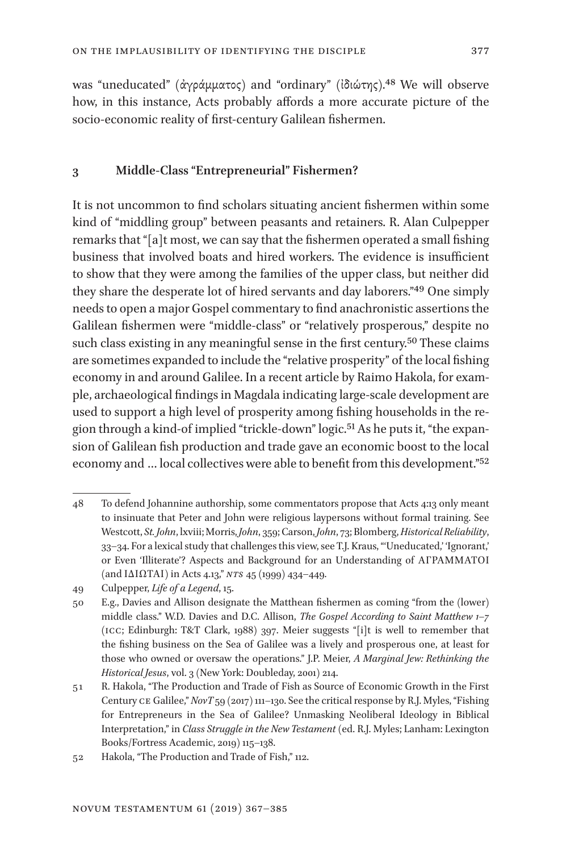was "uneducated" (ἀγράμματος) and "ordinary" (ἰδιώτης).48 We will observe how, in this instance, Acts probably affords a more accurate picture of the socio-economic reality of first-century Galilean fishermen.

#### **3 Middle-Class "Entrepreneurial" Fishermen?**

It is not uncommon to find scholars situating ancient fishermen within some kind of "middling group" between peasants and retainers. R. Alan Culpepper remarks that "[a]t most, we can say that the fishermen operated a small fishing business that involved boats and hired workers. The evidence is insufficient to show that they were among the families of the upper class, but neither did they share the desperate lot of hired servants and day laborers."49 One simply needs to open a major Gospel commentary to find anachronistic assertions the Galilean fishermen were "middle-class" or "relatively prosperous," despite no such class existing in any meaningful sense in the first century.<sup>50</sup> These claims are sometimes expanded to include the "relative prosperity" of the local fishing economy in and around Galilee. In a recent article by Raimo Hakola, for example, archaeological findings in Magdala indicating large-scale development are used to support a high level of prosperity among fishing households in the region through a kind-of implied "trickle-down" logic.51 As he puts it, "the expansion of Galilean fish production and trade gave an economic boost to the local economy and … local collectives were able to benefit from this development."52

<sup>48</sup> To defend Johannine authorship, some commentators propose that Acts 4:13 only meant to insinuate that Peter and John were religious laypersons without formal training. See Westcott, *St. John*, lxviii; Morris, *John*, 359; Carson, *John*, 73; Blomberg, *Historical Reliability*, 33–34. For a lexical study that challenges this view, see T.J. Kraus, "'Uneducated,' 'Ignorant,' or Even 'Illiterate'? Aspects and Background for an Understanding of ΑΓΡΑΜΜΑΤΟΙ (and ΙΔΙΩΤΑΙ) in Acts 4.13," *NTS* 45 (1999) 434–449.

<sup>49</sup> Culpepper, *Life of a Legend*, 15.

<sup>50</sup> E.g., Davies and Allison designate the Matthean fishermen as coming "from the (lower) middle class." W.D. Davies and D.C. Allison, *The Gospel According to Saint Matthew 1–7* (ICC; Edinburgh: T&T Clark, 1988) 397. Meier suggests "[i]t is well to remember that the fishing business on the Sea of Galilee was a lively and prosperous one, at least for those who owned or oversaw the operations." J.P. Meier, *A Marginal Jew: Rethinking the Historical Jesus*, vol. 3 (New York: Doubleday, 2001) 214.

<sup>51</sup> R. Hakola, "The Production and Trade of Fish as Source of Economic Growth in the First Century CE Galilee," *NovT* 59 (2017) 111–130. See the critical response by R.J. Myles, "Fishing for Entrepreneurs in the Sea of Galilee? Unmasking Neoliberal Ideology in Biblical Interpretation," in *Class Struggle in the New Testament* (ed. R.J. Myles; Lanham: Lexington Books/Fortress Academic, 2019) 115–138.

<sup>52</sup> Hakola, "The Production and Trade of Fish," 112.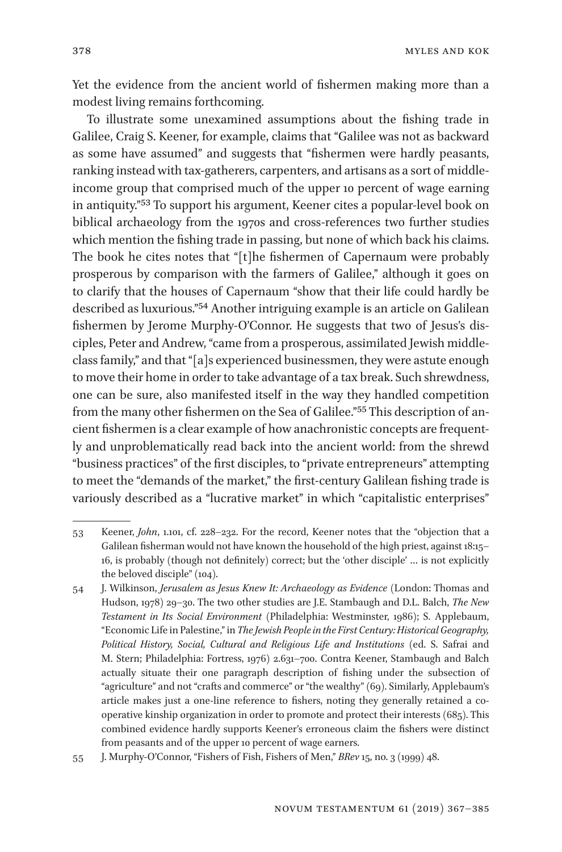378 Myles and kok

Yet the evidence from the ancient world of fishermen making more than a modest living remains forthcoming.

To illustrate some unexamined assumptions about the fishing trade in Galilee, Craig S. Keener, for example, claims that "Galilee was not as backward as some have assumed" and suggests that "fishermen were hardly peasants, ranking instead with tax-gatherers, carpenters, and artisans as a sort of middleincome group that comprised much of the upper 10 percent of wage earning in antiquity."53 To support his argument, Keener cites a popular-level book on biblical archaeology from the 1970s and cross-references two further studies which mention the fishing trade in passing, but none of which back his claims. The book he cites notes that "[t]he fishermen of Capernaum were probably prosperous by comparison with the farmers of Galilee," although it goes on to clarify that the houses of Capernaum "show that their life could hardly be described as luxurious."54 Another intriguing example is an article on Galilean fishermen by Jerome Murphy-O'Connor. He suggests that two of Jesus's disciples, Peter and Andrew, "came from a prosperous, assimilated Jewish middleclass family," and that "[a]s experienced businessmen, they were astute enough to move their home in order to take advantage of a tax break. Such shrewdness, one can be sure, also manifested itself in the way they handled competition from the many other fishermen on the Sea of Galilee."55 This description of ancient fishermen is a clear example of how anachronistic concepts are frequently and unproblematically read back into the ancient world: from the shrewd "business practices" of the first disciples, to "private entrepreneurs" attempting to meet the "demands of the market," the first-century Galilean fishing trade is variously described as a "lucrative market" in which "capitalistic enterprises"

<sup>53</sup> Keener, *John*, 1.101, cf. 228–232. For the record, Keener notes that the "objection that a Galilean fisherman would not have known the household of the high priest, against 18:15– 16, is probably (though not definitely) correct; but the 'other disciple' … is not explicitly the beloved disciple" (104).

<sup>54</sup> J. Wilkinson, *Jerusalem as Jesus Knew It: Archaeology as Evidence* (London: Thomas and Hudson, 1978) 29–30. The two other studies are J.E. Stambaugh and D.L. Balch, *The New Testament in Its Social Environment* (Philadelphia: Westminster, 1986); S. Applebaum, "Economic Life in Palestine," in *The Jewish People in the First Century: Historical Geography, Political History, Social, Cultural and Religious Life and Institutions* (ed. S. Safrai and M. Stern; Philadelphia: Fortress, 1976) 2.631–700. Contra Keener, Stambaugh and Balch actually situate their one paragraph description of fishing under the subsection of "agriculture" and not "crafts and commerce" or "the wealthy" (69). Similarly, Applebaum's article makes just a one-line reference to fishers, noting they generally retained a cooperative kinship organization in order to promote and protect their interests (685). This combined evidence hardly supports Keener's erroneous claim the fishers were distinct from peasants and of the upper 10 percent of wage earners.

<sup>55</sup> J. Murphy-O'Connor, "Fishers of Fish, Fishers of Men," *BRev* 15, no. 3 (1999) 48.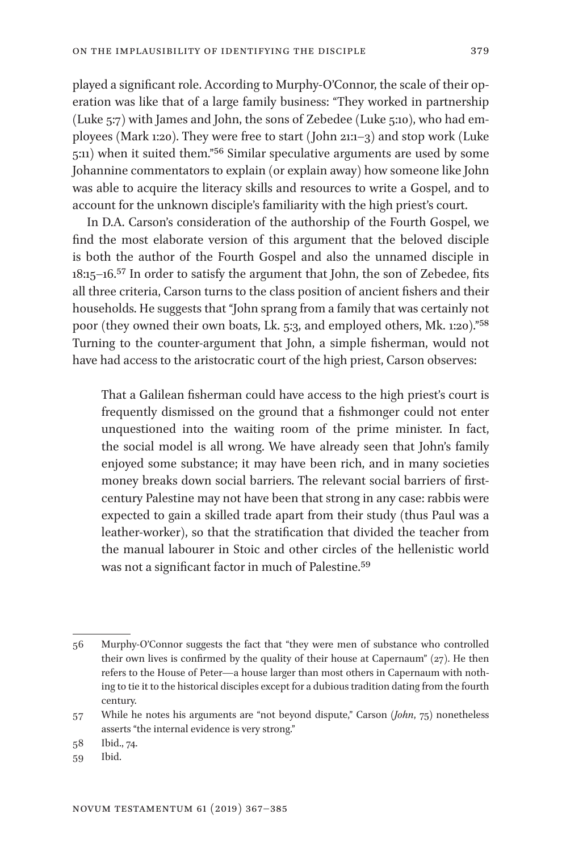played a significant role. According to Murphy-O'Connor, the scale of their operation was like that of a large family business: "They worked in partnership (Luke 5:7) with James and John, the sons of Zebedee (Luke 5:10), who had employees (Mark 1:20). They were free to start (John 21:1–3) and stop work (Luke 5:11) when it suited them."56 Similar speculative arguments are used by some Johannine commentators to explain (or explain away) how someone like John was able to acquire the literacy skills and resources to write a Gospel, and to account for the unknown disciple's familiarity with the high priest's court.

In D.A. Carson's consideration of the authorship of the Fourth Gospel, we find the most elaborate version of this argument that the beloved disciple is both the author of the Fourth Gospel and also the unnamed disciple in 18:15–16.57 In order to satisfy the argument that John, the son of Zebedee, fits all three criteria, Carson turns to the class position of ancient fishers and their households. He suggests that "John sprang from a family that was certainly not poor (they owned their own boats, Lk. 5:3, and employed others, Mk. 1:20)."58 Turning to the counter-argument that John, a simple fisherman, would not have had access to the aristocratic court of the high priest, Carson observes:

That a Galilean fisherman could have access to the high priest's court is frequently dismissed on the ground that a fishmonger could not enter unquestioned into the waiting room of the prime minister. In fact, the social model is all wrong. We have already seen that John's family enjoyed some substance; it may have been rich, and in many societies money breaks down social barriers. The relevant social barriers of firstcentury Palestine may not have been that strong in any case: rabbis were expected to gain a skilled trade apart from their study (thus Paul was a leather-worker), so that the stratification that divided the teacher from the manual labourer in Stoic and other circles of the hellenistic world was not a significant factor in much of Palestine.59

- 58 Ibid., 74.
- 59 Ibid.

<sup>56</sup> Murphy-O'Connor suggests the fact that "they were men of substance who controlled their own lives is confirmed by the quality of their house at Capernaum" (27). He then refers to the House of Peter—a house larger than most others in Capernaum with nothing to tie it to the historical disciples except for a dubious tradition dating from the fourth century.

<sup>57</sup> While he notes his arguments are "not beyond dispute," Carson (*John*, 75) nonetheless asserts "the internal evidence is very strong."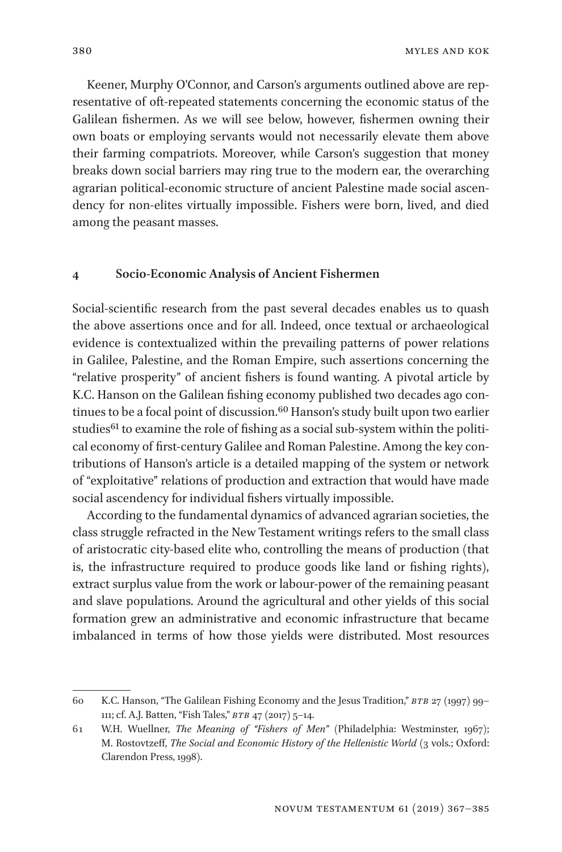Keener, Murphy O'Connor, and Carson's arguments outlined above are representative of oft-repeated statements concerning the economic status of the Galilean fishermen. As we will see below, however, fishermen owning their own boats or employing servants would not necessarily elevate them above their farming compatriots. Moreover, while Carson's suggestion that money breaks down social barriers may ring true to the modern ear, the overarching agrarian political-economic structure of ancient Palestine made social ascendency for non-elites virtually impossible. Fishers were born, lived, and died among the peasant masses.

### **4 Socio-Economic Analysis of Ancient Fishermen**

Social-scientific research from the past several decades enables us to quash the above assertions once and for all. Indeed, once textual or archaeological evidence is contextualized within the prevailing patterns of power relations in Galilee, Palestine, and the Roman Empire, such assertions concerning the "relative prosperity" of ancient fishers is found wanting. A pivotal article by K.C. Hanson on the Galilean fishing economy published two decades ago continues to be a focal point of discussion.<sup>60</sup> Hanson's study built upon two earlier studies<sup>61</sup> to examine the role of fishing as a social sub-system within the political economy of first-century Galilee and Roman Palestine. Among the key contributions of Hanson's article is a detailed mapping of the system or network of "exploitative" relations of production and extraction that would have made social ascendency for individual fishers virtually impossible.

According to the fundamental dynamics of advanced agrarian societies, the class struggle refracted in the New Testament writings refers to the small class of aristocratic city-based elite who, controlling the means of production (that is, the infrastructure required to produce goods like land or fishing rights), extract surplus value from the work or labour-power of the remaining peasant and slave populations. Around the agricultural and other yields of this social formation grew an administrative and economic infrastructure that became imbalanced in terms of how those yields were distributed. Most resources

<sup>60</sup> K.C. Hanson, "The Galilean Fishing Economy and the Jesus Tradition," *BTB* 27 (1997) 99– 111; cf. A.J. Batten, "Fish Tales," *BTB* 47 (2017) 5–14.

<sup>61</sup> W.H. Wuellner, *The Meaning of "Fishers of Men"* (Philadelphia: Westminster, 1967); M. Rostovtzeff, *The Social and Economic History of the Hellenistic World* (3 vols.; Oxford: Clarendon Press, 1998).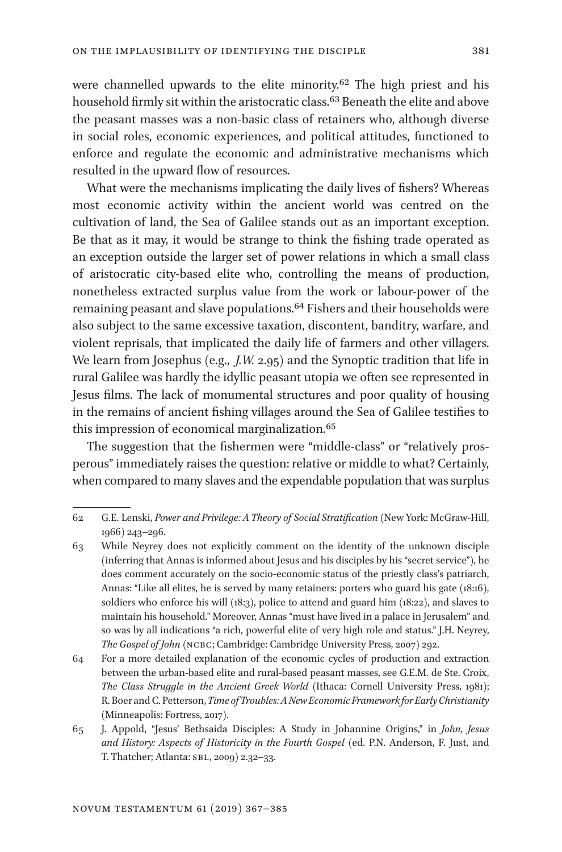were channelled upwards to the elite minority.62 The high priest and his household firmly sit within the aristocratic class.<sup>63</sup> Beneath the elite and above the peasant masses was a non-basic class of retainers who, although diverse in social roles, economic experiences, and political attitudes, functioned to enforce and regulate the economic and administrative mechanisms which resulted in the upward flow of resources.

What were the mechanisms implicating the daily lives of fishers? Whereas most economic activity within the ancient world was centred on the cultivation of land, the Sea of Galilee stands out as an important exception. Be that as it may, it would be strange to think the fishing trade operated as an exception outside the larger set of power relations in which a small class of aristocratic city-based elite who, controlling the means of production, nonetheless extracted surplus value from the work or labour-power of the remaining peasant and slave populations.64 Fishers and their households were also subject to the same excessive taxation, discontent, banditry, warfare, and violent reprisals, that implicated the daily life of farmers and other villagers. We learn from Josephus (e.g., *J.W.* 2.95) and the Synoptic tradition that life in rural Galilee was hardly the idyllic peasant utopia we often see represented in Jesus films. The lack of monumental structures and poor quality of housing in the remains of ancient fishing villages around the Sea of Galilee testifies to this impression of economical marginalization.65

The suggestion that the fishermen were "middle-class" or "relatively prosperous" immediately raises the question: relative or middle to what? Certainly, when compared to many slaves and the expendable population that was surplus

63 While Neyrey does not explicitly comment on the identity of the unknown disciple (inferring that Annas is informed about Jesus and his disciples by his "secret service"), he does comment accurately on the socio-economic status of the priestly class's patriarch, Annas: "Like all elites, he is served by many retainers: porters who guard his gate (18:16), soldiers who enforce his will (18:3), police to attend and guard him (18:22), and slaves to maintain his household." Moreover, Annas "must have lived in a palace in Jerusalem" and so was by all indications "a rich, powerful elite of very high role and status." J.H. Neyrey, *The Gospel of John* (NCBC; Cambridge: Cambridge University Press, 2007) 292.

64 For a more detailed explanation of the economic cycles of production and extraction between the urban-based elite and rural-based peasant masses, see G.E.M. de Ste. Croix, *The Class Struggle in the Ancient Greek World* (Ithaca: Cornell University Press, 1981); R. Boer and C. Petterson, *Time of Troubles: A New Economic Framework for Early Christianity* (Minneapolis: Fortress, 2017).

65 J. Appold, "Jesus' Bethsaida Disciples: A Study in Johannine Origins," in *John, Jesus and History: Aspects of Historicity in the Fourth Gospel* (ed. P.N. Anderson, F. Just, and T. Thatcher; Atlanta: SBL, 2009) 2.32–33.

<sup>62</sup> G.E. Lenski, *Power and Privilege: A Theory of Social Stratification* (New York: McGraw-Hill, 1966) 243–296.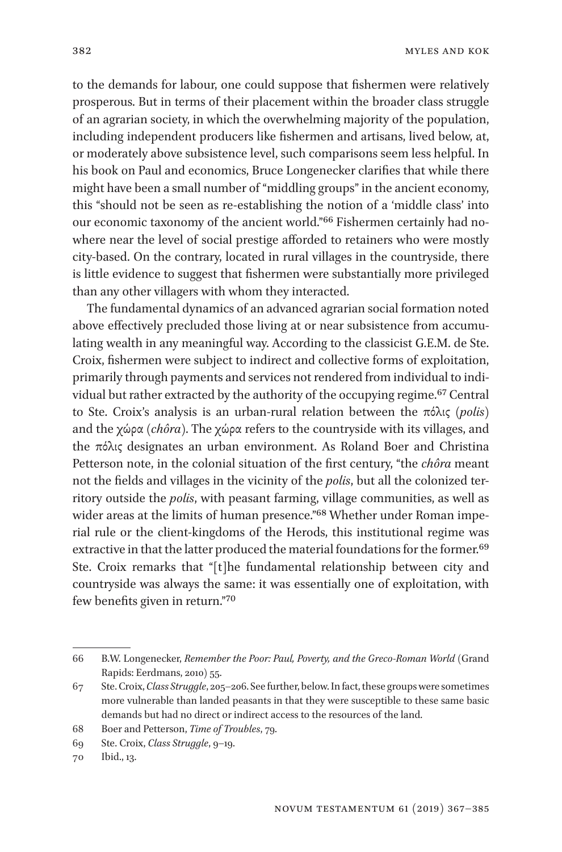to the demands for labour, one could suppose that fishermen were relatively prosperous. But in terms of their placement within the broader class struggle of an agrarian society, in which the overwhelming majority of the population, including independent producers like fishermen and artisans, lived below, at, or moderately above subsistence level, such comparisons seem less helpful. In his book on Paul and economics, Bruce Longenecker clarifies that while there might have been a small number of "middling groups" in the ancient economy, this "should not be seen as re-establishing the notion of a 'middle class' into our economic taxonomy of the ancient world."66 Fishermen certainly had nowhere near the level of social prestige afforded to retainers who were mostly city-based. On the contrary, located in rural villages in the countryside, there is little evidence to suggest that fishermen were substantially more privileged than any other villagers with whom they interacted.

The fundamental dynamics of an advanced agrarian social formation noted above effectively precluded those living at or near subsistence from accumulating wealth in any meaningful way. According to the classicist G.E.M. de Ste. Croix, fishermen were subject to indirect and collective forms of exploitation, primarily through payments and services not rendered from individual to individual but rather extracted by the authority of the occupying regime.67 Central to Ste. Croix's analysis is an urban-rural relation between the πόλις (*polis*) and the χώρα (*chôra*). The χώρα refers to the countryside with its villages, and the πόλις designates an urban environment. As Roland Boer and Christina Petterson note, in the colonial situation of the first century, "the *chôra* meant not the fields and villages in the vicinity of the *polis*, but all the colonized territory outside the *polis*, with peasant farming, village communities, as well as wider areas at the limits of human presence."68 Whether under Roman imperial rule or the client-kingdoms of the Herods, this institutional regime was extractive in that the latter produced the material foundations for the former.<sup>69</sup> Ste. Croix remarks that "[t]he fundamental relationship between city and countryside was always the same: it was essentially one of exploitation, with few benefits given in return."70

<sup>66</sup> B.W. Longenecker, *Remember the Poor: Paul, Poverty, and the Greco-Roman World* (Grand Rapids: Eerdmans, 2010) 55.

<sup>67</sup> Ste. Croix, *Class Struggle*, 205–206. See further, below. In fact, these groups were sometimes more vulnerable than landed peasants in that they were susceptible to these same basic demands but had no direct or indirect access to the resources of the land.

<sup>68</sup> Boer and Petterson, *Time of Troubles*, 79.

<sup>69</sup> Ste. Croix, *Class Struggle*, 9–19.

<sup>70</sup> Ibid., 13.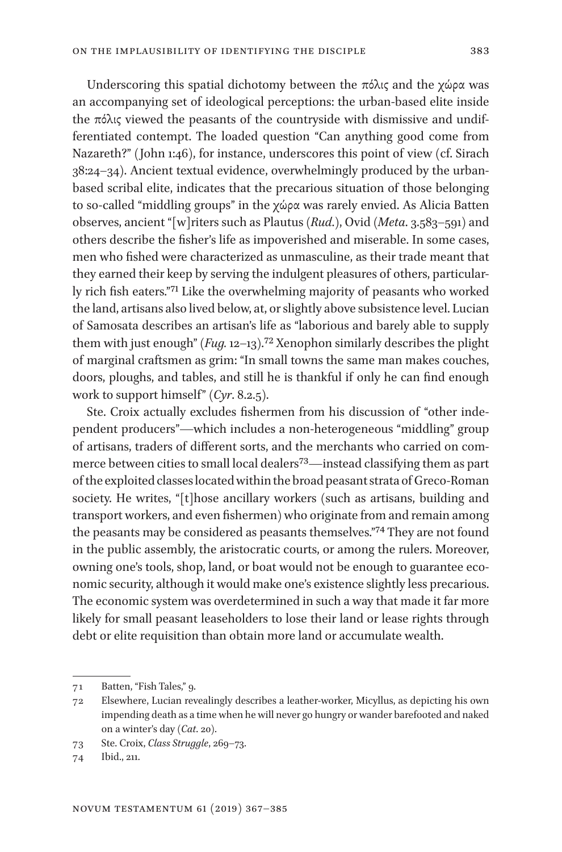Underscoring this spatial dichotomy between the πόλις and the χώρα was an accompanying set of ideological perceptions: the urban-based elite inside the πόλις viewed the peasants of the countryside with dismissive and undifferentiated contempt. The loaded question "Can anything good come from Nazareth?" (John 1:46), for instance, underscores this point of view (cf. Sirach 38:24–34). Ancient textual evidence, overwhelmingly produced by the urbanbased scribal elite, indicates that the precarious situation of those belonging to so-called "middling groups" in the χώρα was rarely envied. As Alicia Batten observes, ancient "[w]riters such as Plautus (*Rud*.), Ovid (*Meta*. 3.583–591) and others describe the fisher's life as impoverished and miserable. In some cases, men who fished were characterized as unmasculine, as their trade meant that they earned their keep by serving the indulgent pleasures of others, particularly rich fish eaters."71 Like the overwhelming majority of peasants who worked the land, artisans also lived below, at, or slightly above subsistence level. Lucian of Samosata describes an artisan's life as "laborious and barely able to supply them with just enough" (*Fug.* 12–13).72 Xenophon similarly describes the plight of marginal craftsmen as grim: "In small towns the same man makes couches, doors, ploughs, and tables, and still he is thankful if only he can find enough work to support himself" (*Cyr*. 8.2.5).

Ste. Croix actually excludes fishermen from his discussion of "other independent producers"—which includes a non-heterogeneous "middling" group of artisans, traders of different sorts, and the merchants who carried on commerce between cities to small local dealers<sup>73</sup>—instead classifying them as part of the exploited classes located within the broad peasant strata of Greco-Roman society. He writes, "[t]hose ancillary workers (such as artisans, building and transport workers, and even fishermen) who originate from and remain among the peasants may be considered as peasants themselves."74 They are not found in the public assembly, the aristocratic courts, or among the rulers. Moreover, owning one's tools, shop, land, or boat would not be enough to guarantee economic security, although it would make one's existence slightly less precarious. The economic system was overdetermined in such a way that made it far more likely for small peasant leaseholders to lose their land or lease rights through debt or elite requisition than obtain more land or accumulate wealth.

<sup>71</sup> Batten, "Fish Tales," 9.

<sup>72</sup> Elsewhere, Lucian revealingly describes a leather-worker, Micyllus, as depicting his own impending death as a time when he will never go hungry or wander barefooted and naked on a winter's day (*Cat*. 20).

<sup>73</sup> Ste. Croix, *Class Struggle*, 269–73.

<sup>74</sup> Ibid., 211.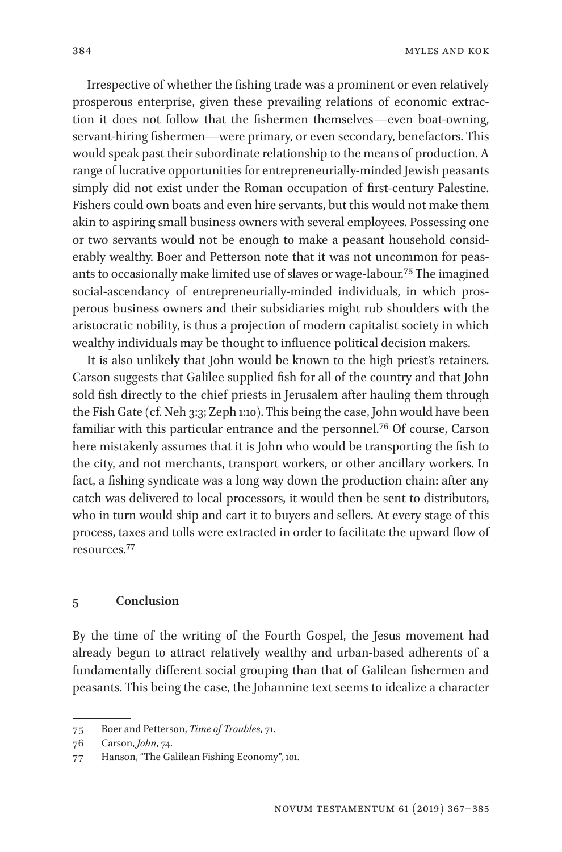Irrespective of whether the fishing trade was a prominent or even relatively prosperous enterprise, given these prevailing relations of economic extraction it does not follow that the fishermen themselves—even boat-owning, servant-hiring fishermen—were primary, or even secondary, benefactors. This would speak past their subordinate relationship to the means of production. A range of lucrative opportunities for entrepreneurially-minded Jewish peasants simply did not exist under the Roman occupation of first-century Palestine. Fishers could own boats and even hire servants, but this would not make them akin to aspiring small business owners with several employees. Possessing one or two servants would not be enough to make a peasant household considerably wealthy. Boer and Petterson note that it was not uncommon for peasants to occasionally make limited use of slaves or wage-labour.75 The imagined social-ascendancy of entrepreneurially-minded individuals, in which prosperous business owners and their subsidiaries might rub shoulders with the aristocratic nobility, is thus a projection of modern capitalist society in which wealthy individuals may be thought to influence political decision makers.

It is also unlikely that John would be known to the high priest's retainers. Carson suggests that Galilee supplied fish for all of the country and that John sold fish directly to the chief priests in Jerusalem after hauling them through the Fish Gate (cf. Neh 3:3; Zeph 1:10). This being the case, John would have been familiar with this particular entrance and the personnel.76 Of course, Carson here mistakenly assumes that it is John who would be transporting the fish to the city, and not merchants, transport workers, or other ancillary workers. In fact, a fishing syndicate was a long way down the production chain: after any catch was delivered to local processors, it would then be sent to distributors, who in turn would ship and cart it to buyers and sellers. At every stage of this process, taxes and tolls were extracted in order to facilitate the upward flow of resources.77

#### **5 Conclusion**

By the time of the writing of the Fourth Gospel, the Jesus movement had already begun to attract relatively wealthy and urban-based adherents of a fundamentally different social grouping than that of Galilean fishermen and peasants. This being the case, the Johannine text seems to idealize a character

<sup>75</sup> Boer and Petterson, *Time of Troubles*, 71.

<sup>76</sup> Carson, *John*, 74.

<sup>77</sup> Hanson, "The Galilean Fishing Economy", 101.